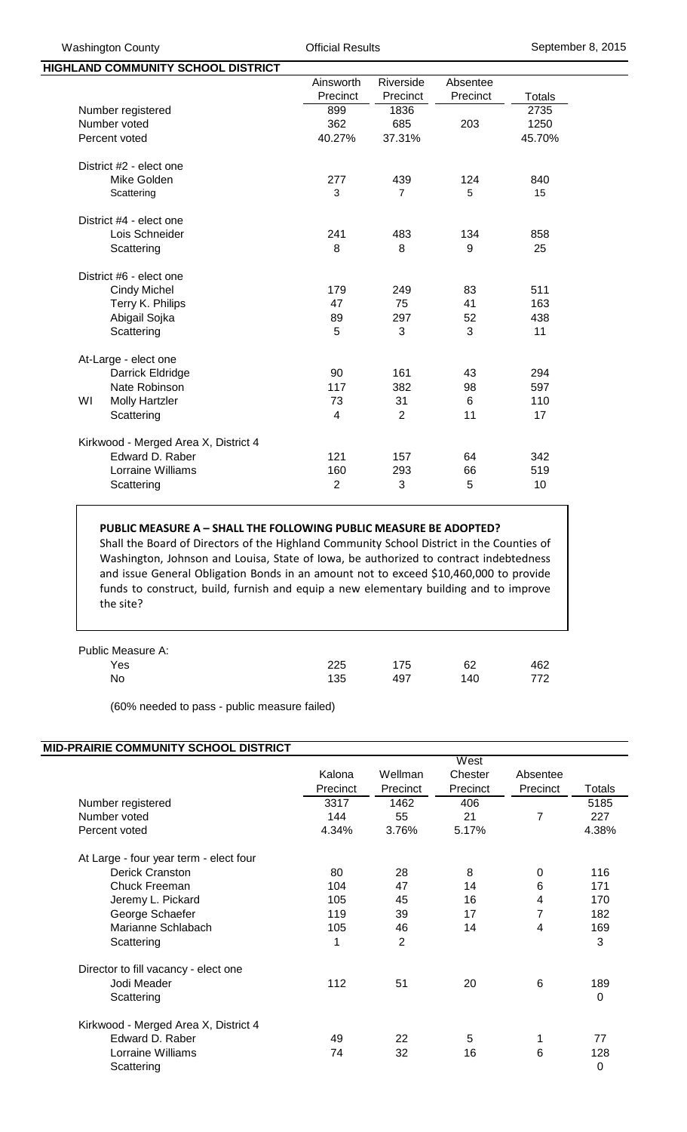| HIGHLAND COMMUNITY SCHOOL DISTRICT   |                         |                |          |        |
|--------------------------------------|-------------------------|----------------|----------|--------|
|                                      | Ainsworth               | Riverside      | Absentee |        |
|                                      | Precinct                | Precinct       | Precinct | Totals |
| Number registered                    | 899                     | 1836           |          | 2735   |
| Number voted                         | 362                     | 685            | 203      | 1250   |
| Percent voted                        | 40.27%                  | 37.31%         |          | 45.70% |
| District #2 - elect one              |                         |                |          |        |
| Mike Golden                          | 277                     | 439            | 124      | 840    |
| Scattering                           | 3                       | $\overline{7}$ | 5        | 15     |
| District #4 - elect one              |                         |                |          |        |
| Lois Schneider                       | 241                     | 483            | 134      | 858    |
| Scattering                           | 8                       | 8              | 9        | 25     |
| District #6 - elect one              |                         |                |          |        |
| <b>Cindy Michel</b>                  | 179                     | 249            | 83       | 511    |
| Terry K. Philips                     | 47                      | 75             | 41       | 163    |
| Abigail Sojka                        | 89                      | 297            | 52       | 438    |
| Scattering                           | 5                       | 3              | 3        | 11     |
| At-Large - elect one                 |                         |                |          |        |
| Darrick Eldridge                     | 90                      | 161            | 43       | 294    |
| Nate Robinson                        | 117                     | 382            | 98       | 597    |
| WI<br><b>Molly Hartzler</b>          | 73                      | 31             | 6        | 110    |
| Scattering                           | $\overline{\mathbf{4}}$ | $\overline{2}$ | 11       | 17     |
| Kirkwood - Merged Area X, District 4 |                         |                |          |        |
| Edward D. Raber                      | 121                     | 157            | 64       | 342    |
| Lorraine Williams                    | 160                     | 293            | 66       | 519    |
| Scattering                           | $\overline{2}$          | 3              | 5        | 10     |

## **PUBLIC MEASURE A – SHALL THE FOLLOWING PUBLIC MEASURE BE ADOPTED?**

Shall the Board of Directors of the Highland Community School District in the Counties of Washington, Johnson and Louisa, State of Iowa, be authorized to contract indebtedness and issue General Obligation Bonds in an amount not to exceed \$10,460,000 to provide funds to construct, build, furnish and equip a new elementary building and to improve the site?

| Public Measure A: |     |     |     |     |
|-------------------|-----|-----|-----|-----|
| Yes               | 225 | 175 | 62  | 462 |
| No                | 135 | 497 | 140 | 772 |

(60% needed to pass - public measure failed)

## **MID-PRAIRIE COMMUNITY SCHOOL DISTRICT**

|                                        |          |                | West     |          |               |
|----------------------------------------|----------|----------------|----------|----------|---------------|
|                                        | Kalona   | Wellman        | Chester  | Absentee |               |
|                                        | Precinct | Precinct       | Precinct | Precinct | <b>Totals</b> |
| Number registered                      | 3317     | 1462           | 406      |          | 5185          |
| Number voted                           | 144      | 55             | 21       | 7        | 227           |
| Percent voted                          | 4.34%    | 3.76%          | 5.17%    |          | 4.38%         |
| At Large - four year term - elect four |          |                |          |          |               |
| Derick Cranston                        | 80       | 28             | 8        | $\Omega$ | 116           |
| <b>Chuck Freeman</b>                   | 104      | 47             | 14       | 6        | 171           |
| Jeremy L. Pickard                      | 105      | 45             | 16       | 4        | 170           |
| George Schaefer                        | 119      | 39             | 17       | 7        | 182           |
| Marianne Schlabach                     | 105      | 46             | 14       | 4        | 169           |
| Scattering                             | 1        | $\overline{2}$ |          |          | 3             |
| Director to fill vacancy - elect one   |          |                |          |          |               |
| Jodi Meader                            | 112      | 51             | 20       | 6        | 189           |
| Scattering                             |          |                |          |          | 0             |
| Kirkwood - Merged Area X, District 4   |          |                |          |          |               |
| Edward D. Raber                        | 49       | 22             | 5        |          | 77            |
| Lorraine Williams                      | 74       | 32             | 16       | 6        | 128           |
| Scattering                             |          |                |          |          | 0             |